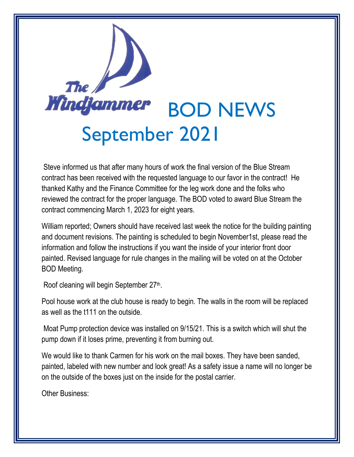

Steve informed us that after many hours of work the final version of the Blue Stream contract has been received with the requested language to our favor in the contract! He thanked Kathy and the Finance Committee for the leg work done and the folks who reviewed the contract for the proper language. The BOD voted to award Blue Stream the contract commencing March 1, 2023 for eight years.

William reported; Owners should have received last week the notice for the building painting and document revisions. The painting is scheduled to begin November1st, please read the information and follow the instructions if you want the inside of your interior front door painted. Revised language for rule changes in the mailing will be voted on at the October BOD Meeting.

Roof cleaning will begin September 27<sup>th</sup>.

Pool house work at the club house is ready to begin. The walls in the room will be replaced as well as the t111 on the outside.

Moat Pump protection device was installed on 9/15/21. This is a switch which will shut the pump down if it loses prime, preventing it from burning out.

We would like to thank Carmen for his work on the mail boxes. They have been sanded, painted, labeled with new number and look great! As a safety issue a name will no longer be on the outside of the boxes just on the inside for the postal carrier.

Other Business: